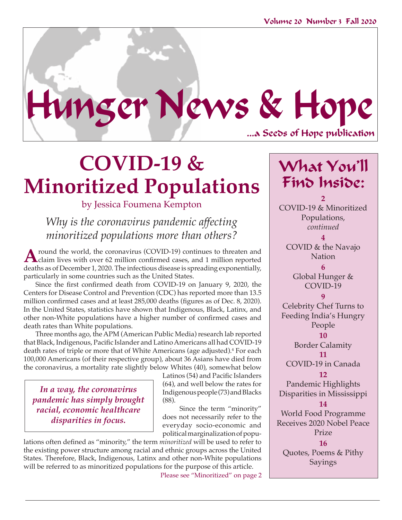...a Seeds of Hope publication Hunger News & Hope

## **COVID-19 & Minoritized Populations**

## by Jessica Foumena Kempton

*Why is the coronavirus pandemic affecting minoritized populations more than others?* 

**A** round the world, the coronavirus (COVID-19) continues to threaten and claim lives with over 62 million confirmed cases, and 1 million reported that the sum of December 1, 2000. The infectious discoveries were discussed deaths as of December 1, 2020. The infectious disease is spreading exponentially, particularly in some countries such as the United States.

Since the first confirmed death from COVID-19 on January 9, 2020, the Centers for Disease Control and Prevention (CDC) has reported more than 13.5 million confirmed cases and at least 285,000 deaths (figures as of Dec. 8, 2020). In the United States, statistics have shown that Indigenous, Black, Latinx, and other non-White populations have a higher number of confirmed cases and death rates than White populations.

Three months ago, the APM (American Public Media) research lab reported that Black, Indigenous, Pacific Islander and Latino Americans all had COVID-19 death rates of triple or more that of White Americans (age adjusted).<sup>4</sup> For each 100,000 Americans (of their respective group), about 36 Asians have died from the coronavirus, a mortality rate slightly below Whites (40), somewhat below

*In a way, the coronavirus pandemic has simply brought racial, economic healthcare disparities in focus.*

Latinos (54) and Pacific Islanders (64), and well below the rates for Indigenous people (73) and Blacks (88).

 Since the term "minority" does not necessarily refer to the everyday socio-economic and political marginalization of popu-

lations often defined as "minority," the term *minoritized* will be used to refer to the existing power structure among racial and ethnic groups across the United States. Therefore, Black, Indigenous, Latinx and other non-White populations will be referred to as minoritized populations for the purpose of this article.

Please see "Minoritized" on page 2

## What You'll Find Inside:

**2** COVID-19 & Minoritized Populations, *continued*   $\lambda$ 

COVID & the Navajo Nation

**6**  Global Hunger & COVID-19

**9** Celebrity Chef Turns to Feeding India's Hungry People

> **10** Border Calamity **11**

COVID-19 in Canada

**12** Pandemic Highlights Disparities in Mississippi

**14**

World Food Programme Receives 2020 Nobel Peace Prize **16**

Quotes, Poems & Pithy Sayings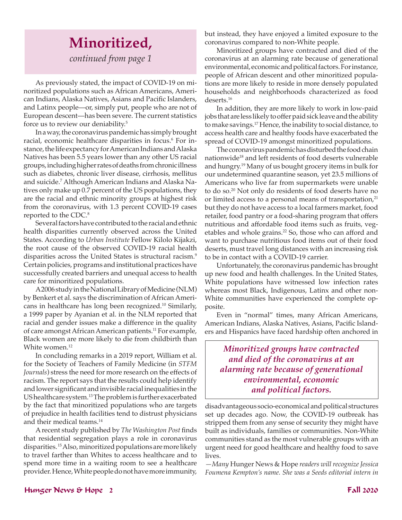## **Minoritized,** *continued from page 1*

As previously stated, the impact of COVID-19 on minoritized populations such as African Americans, American Indians, Alaska Natives, Asians and Pacific Islanders, and Latinx people—or, simply put, people who are not of European descent—has been severe. The current statistics force us to review our deniability.5

In a way, the coronavirus pandemic has simply brought racial, economic healthcare disparities in focus.<sup>6</sup> For instance, the life expectancy for American Indians and Alaska Natives has been 5.5 years lower than any other US racial groups, including higher rates of deaths from chronic illness such as diabetes, chronic liver disease, cirrhosis, mellitus and suicide.7 Although American Indians and Alaska Natives only make up 0.7 percent of the US populations, they are the racial and ethnic minority groups at highest risk from the coronavirus, with 1.3 percent COVID-19 cases reported to the CDC.<sup>8</sup>

Several factors have contributed to the racial and ethnic health disparities currently observed across the United States. According to *Urban Institute* Fellow Kilolo Kijakzi, the root cause of the observed COVID-19 racial health disparities across the United States is structural racism.<sup>9</sup> Certain policies, programs and institutional practices have successfully created barriers and unequal access to health care for minoritized populations.

A 2006 study in the National Library of Medicine (NLM) by Benkert et al. says the discrimination of African Americans in healthcare has long been recognized.10 Similarly, a 1999 paper by Ayanian et al. in the NLM reported that racial and gender issues make a difference in the quality of care amongst African American patients.11 For example, Black women are more likely to die from childbirth than White women.<sup>12</sup>

In concluding remarks in a 2019 report, William et al. for the Society of Teachers of Family Medicine (in *STFM Journals*) stress the need for more research on the effects of racism. The report says that the results could help identify and lower significant and invisible racial inequalities in the US healthcare system.13 The problem is further exacerbated by the fact that minoritized populations who are targets of prejudice in health facilities tend to distrust physicians and their medical teams.14

A recent study published by *The Washington Post* finds that residential segregation plays a role in coronavirus disparities. 15 Also, minoritized populations are more likely to travel farther than Whites to access healthcare and to spend more time in a waiting room to see a healthcare provider. Hence, White people do not have more immunity, but instead, they have enjoyed a limited exposure to the coronavirus compared to non-White people.

Minoritized groups have contracted and died of the coronavirus at an alarming rate because of generational environmental, economic and political factors. For instance, people of African descent and other minoritized populations are more likely to reside in more densely populated households and neighborhoods characterized as food deserts.<sup>16</sup>

In addition, they are more likely to work in low-paid jobs that are less likely to offer paid sick leave and the ability to make savings.17 Hence, the inability to social distance, to access health care and healthy foods have exacerbated the spread of COVID-19 amongst minoritized populations.

The coronavirus pandemic has disturbed the food chain nationwide<sup>18</sup> and left residents of food deserts vulnerable and hungry.19 Many of us bought grocery items in bulk for our undetermined quarantine season, yet 23.5 millions of Americans who live far from supermarkets were unable to do so.20 Not only do residents of food deserts have no or limited access to a personal means of transportation, $21$ but they do not have access to a local farmers market, food retailer, food pantry or a food-sharing program that offers nutritious and affordable food items such as fruits, vegetables and whole grains.<sup>22</sup> So, those who can afford and want to purchase nutritious food items out of their food deserts, must travel long distances with an increasing risk to be in contact with a COVID-19 carrier.

Unfortunately, the coronavirus pandemic has brought up new food and health challenges. In the United States, White populations have witnessed low infection rates whereas most Black, Indigenous, Latinx and other non-White communities have experienced the complete opposite.

Even in "normal" times, many African Americans, American Indians, Alaska Natives, Asians, Pacific Islanders and Hispanics have faced hardship often anchored in

*Minoritized groups have contracted and died of the coronavirus at an alarming rate because of generational environmental, economic and political factors.*

disadvantageous socio-economical and political structures set up decades ago. Now, the COVID-19 outbreak has stripped them from any sense of security they might have built as individuals, families or communities. Non-White communities stand as the most vulnerable groups with an urgent need for good healthcare and healthy food to save lives.

*—Many* Hunger News & Hope *readers will recognize Jessica Foumena Kempton's name. She was a Seeds editorial intern in* 

### Hunger News & Hope 2 Fall 2020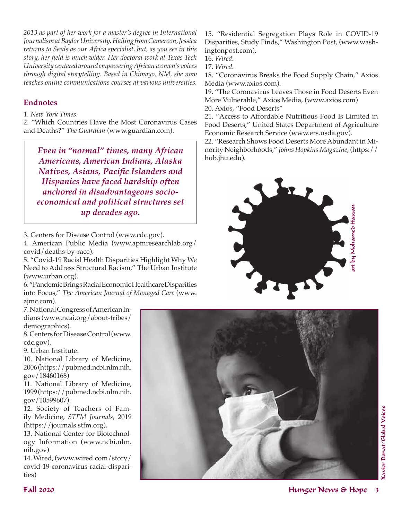*2013 as part of her work for a master's degree in International Journalism at Baylor University. Hailing from Cameroon, Jessica returns to Seeds as our Africa specialist, but, as you see in this story, her field is much wider. Her doctoral work at Texas Tech University centered around empowering African women's voices through digital storytelling. Based in Chimayo, NM, she now teaches online communications courses at various universities.* 

## **Endnotes**

1. *New York Times.*

2. "Which Countries Have the Most Coronavirus Cases and Deaths?" *The Guardian* (www.guardian.com).

*Even in "normal" times, many African Americans, American Indians, Alaska Natives, Asians, Pacific Islanders and Hispanics have faced hardship often anchored in disadvantageous socioeconomical and political structures set up decades ago.*

3. Centers for Disease Control (www.cdc.gov).

4. American Public Media (www.apmresearchlab.org/ covid/deaths-by-race).

5. "Covid-19 Racial Health Disparities Highlight Why We Need to Address Structural Racism," The Urban Institute (www.urban.org).

6. "Pandemic Brings Racial Economic Healthcare Disparities into Focus," *The American Journal of Managed Care* (www. ajmc.com).

7. National Congress of American Indians (www.ncai.org/about-tribes/ demographics).

8. Centers for Disease Control (www. cdc.gov).

9. Urban Institute.

10. National Library of Medicine, 2006 (https://pubmed.ncbi.nlm.nih. gov/18460168)

11. National Library of Medicine, 1999 (https://pubmed.ncbi.nlm.nih. gov/10599607).

12. Society of Teachers of Family Medicine, *STFM Journals*, 2019 (https://journals.stfm.org).

13. National Center for Biotechnology Information (www.ncbi.nlm. nih.gov)

14. Wired, (www.wired.com/story/ covid-19-coronavirus-racial-disparities)

15. "Residential Segregation Plays Role in COVID-19 Disparities, Study Finds," Washington Post, (www.washingtonpost.com).

16. *Wired*.

17. *Wired*.

18. "Coronavirus Breaks the Food Supply Chain," Axios Media (www.axios.com).

19. "The Coronavirus Leaves Those in Food Deserts Even More Vulnerable," Axios Media, (www.axios.com) 20. Axios, "Food Deserts"

21. "Access to Affordable Nutritious Food Is Limited in Food Deserts," United States Department of Agriculture Economic Research Service (www.ers.usda.gov).

22. "Research Shows Food Deserts More Abundant in Minority Neighborhoods," *Johns Hopkins Magazine*, (https:// hub.jhu.edu).



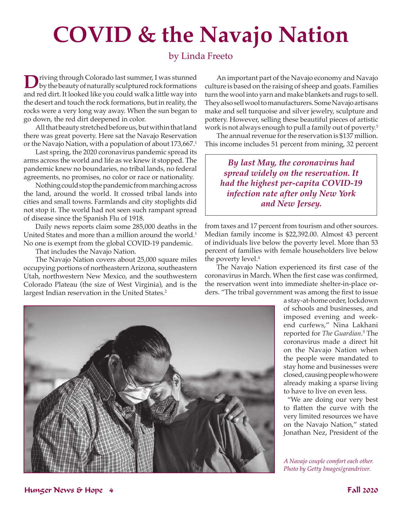# **COVID & the Navajo Nation**

## by Linda Freeto

D riving through Colorado last summer, I was stunned<br>by the beauty of naturally sculptured rock formations<br>and may like the class dilustry sculpture like little specials. and red dirt. It looked like you could walk a little way into the desert and touch the rock formations, but in reality, the rocks were a very long way away. When the sun began to go down, the red dirt deepened in color.

All that beauty stretched before us, but within that land there was great poverty. Here sat the Navajo Reservation or the Navajo Nation, with a population of about 173,667.<sup>1</sup>

Last spring, the 2020 coronavirus pandemic spread its arms across the world and life as we knew it stopped. The pandemic knew no boundaries, no tribal lands, no federal agreements, no promises, no color or race or nationality.

Nothing could stop the pandemic from marching across the land, around the world. It crossed tribal lands into cities and small towns. Farmlands and city stoplights did not stop it. The world had not seen such rampant spread of disease since the Spanish Flu of 1918.

Daily news reports claim some 285,000 deaths in the United States and more than a million around the world.<sup>1</sup> No one is exempt from the global COVID-19 pandemic.

That includes the Navajo Nation.

The Navajo Nation covers about 25,000 square miles occupying portions of northeastern Arizona, southeastern Utah, northwestern New Mexico, and the southwestern Colorado Plateau (the size of West Virginia), and is the largest Indian reservation in the United States.<sup>2</sup>

An important part of the Navajo economy and Navajo culture is based on the raising of sheep and goats. Families turn the wool into yarn and make blankets and rugs to sell. They also sell wool to manufacturers. Some Navajo artisans make and sell turquoise and silver jewelry, sculpture and pottery. However, selling these beautiful pieces of artistic work is not always enough to pull a family out of poverty.3

The annual revenue for the reservation is \$137 million. This income includes 51 percent from mining, 32 percent

*By last May, the coronavirus had spread widely on the reservation. It had the highest per-capita COVID-19 infection rate after only New York and New Jersey.* 

from taxes and 17 percent from tourism and other sources. Median family income is \$22,392.00. Almost 43 percent of individuals live below the poverty level. More than 53 percent of families with female householders live below the poverty level.<sup>4</sup>

The Navajo Nation experienced its first case of the coronavirus in March. When the first case was confirmed, the reservation went into immediate shelter-in-place orders. "The tribal government was among the first to issue



a stay-at-home order, lockdown of schools and businesses, and imposed evening and weekend curfews," Nina Lakhani reported for *The Guardian*. 5 The coronavirus made a direct hit on the Navajo Nation when the people were mandated to stay home and businesses were closed, causing people who were already making a sparse living to have to live on even less.

"We are doing our very best to flatten the curve with the very limited resources we have on the Navajo Nation," stated Jonathan Nez, President of the

*A Navajo couple comfort each other. Photo by Getty Images/grandriver.*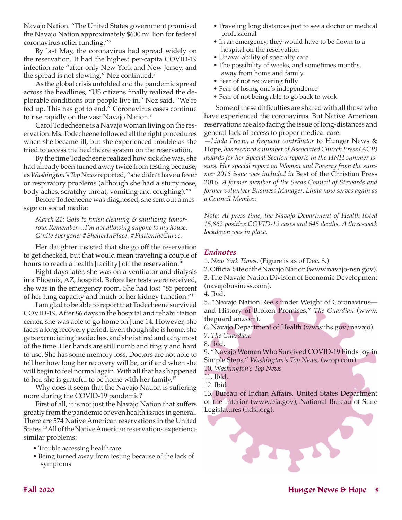Navajo Nation. "The United States government promised the Navajo Nation approximately \$600 million for federal coronavirus relief funding."6

By last May, the coronavirus had spread widely on the reservation. It had the highest per-capita COVID-19 infection rate "after only New York and New Jersey, and the spread is not slowing," Nez continued.<sup>7</sup>

As the global crisis unfolded and the pandemic spread across the headlines, "US citizens finally realized the deplorable conditions our people live in," Nez said. "We're fed up. This has got to end." Coronavirus cases continue to rise rapidly on the vast Navajo Nation.<sup>8</sup>

Carol Todecheene is a Navajo woman living on the reservation. Ms. Todecheene followed all the right procedures when she became ill, but she experienced trouble as she tried to access the healthcare system on the reservation.

By the time Todecheene realized how sick she was, she had already been turned away twice from testing because, as *Washington's Top News* reported, "she didn't have a fever or respiratory problems (although she had a stuffy nose, body aches, scratchy throat, vomiting and coughing)."9

Before Todecheene was diagnosed, she sent out a message on social media:

*March 21: Gots to finish cleaning & sanitizing tomorrow. Remember…I'm not allowing anyone to my house. G'nite everyone: #ShelterInPlace. #FlattentheCurve.*

Her daughter insisted that she go off the reservation to get checked, but that would mean traveling a couple of hours to reach a health [facility] off the reservation.<sup>10</sup>

Eight days later, she was on a ventilator and dialysis in a Phoenix, AZ, hospital. Before her tests were received, she was in the emergency room. She had lost "85 percent of her lung capacity and much of her kidney function."11

I am glad to be able to report that Todecheene survived COVID-19. After 86 days in the hospital and rehabilitation center, she was able to go home on June 14. However, she faces a long recovery period. Even though she is home, she gets excruciating headaches, and she is tired and achy most of the time. Her hands are still numb and tingly and hard to use. She has some memory loss. Doctors are not able to tell her how long her recovery will be, or if and when she will begin to feel normal again. With all that has happened to her, she is grateful to be home with her family.12

Why does it seem that the Navajo Nation is suffering more during the COVID-19 pandemic?

First of all, it is not just the Navajo Nation that suffers greatly from the pandemic or even health issues in general. There are 574 Native American reservations in the United States.13 All of the Native American reservations experience similar problems:

- Trouble accessing healthcare
- Being turned away from testing because of the lack of symptoms
- Traveling long distances just to see a doctor or medical professional
- In an emergency, they would have to be flown to a hospital off the reservation
- Unavailability of specialty care
- The possibility of weeks, and sometimes months, away from home and family
- Fear of not recovering fully
- Fear of losing one's independence
- Fear of not being able to go back to work

Some of these difficulties are shared with all those who have experienced the coronavirus. But Native American reservations are also facing the issue of long-distances and general lack of access to proper medical care.

*—Linda Freeto, a frequent contributor* to Hunger News & Hope*, has received a number of Associated Church Press (ACP) awards for her Special Section reports in the HNH summer issues. Her special report on Women and Poverty from the summer 2016 issue was included in* Best of the Christian Press 2016*. A former member of the Seeds Council of Stewards and former volunteer Business Manager, Linda now serves again as a Council Member.* 

*Note: At press time, the Navajo Department of Health listed 15,862 positive COVID-19 cases and 645 deaths. A three-week lockdown was in place.* 

## *Endnotes*

- 1. *New York Times*. (Figure is as of Dec. 8.)
- 2. Official Site of the Navajo Nation (www.navajo-nsn.gov).
- 3. The Navajo Nation Division of Economic Development

(navajobusiness.com).

4. Ibid.

5. "Navajo Nation Reels under Weight of Coronavirus and History of Broken Promises," *The Guardian* (www. theguardian.com).

- 6. Navajo Department of Health (www.ihs.gov/navajo).
- 7. *The Guardian*.
- 8. Ibid.

9. "Navajo Woman Who Survived COVID-19 Finds Joy in Simple Steps," *Washington's Top News*, (wtop.com).

10. *Washington's Top News*

11. Ibid.

12. Ibid.

13. Bureau of Indian Affairs, United States Department of the Interior (www.bia.gov), National Bureau of State Legislatures (ndsl.org).

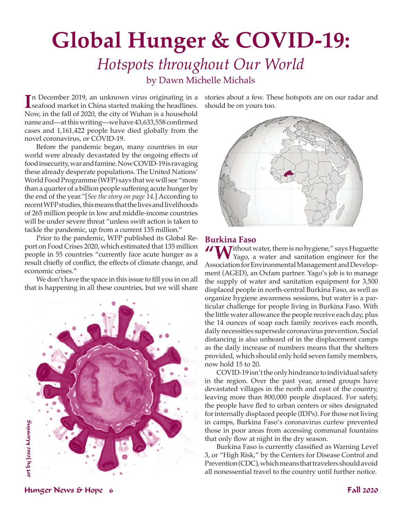# **Global Hunger & COVID-19:**

## *Hotspots throughout Our World* by Dawn Michelle Michals

In December 2019, an unknown virus originating in a<br>
seafood market in China started making the headlines. n December 2019, an unknown virus originating in a Now, in the fall of 2020, the city of Wuhan is a household name and—at this writing—we have 43,633,558 confirmed cases and 1,161,422 people have died globally from the novel coronavirus, or COVID-19.

Before the pandemic began, many countries in our world were already devastated by the ongoing effects of food insecurity, war and famine. Now COVID-19 is ravaging these already desperate populations. The United Nations' World Food Programme (WFP) says that we will see "more than a quarter of a billion people suffering acute hunger by the end of the year."[*See the story on page 14.*] According to recent WFP studies, this means that the lives and livelihoods of 265 million people in low and middle-income countries will be under severe threat "unless swift action is taken to tackle the pandemic, up from a current 135 million."

Prior to the pandemic, WFP published its Global Report on Food Crises 2020, which estimated that 135 million people in 55 countries "currently face acute hunger as a result chiefly of conflict, the effects of climate change, and economic crises."

We don't have the space in this issue to fill you in on all that is happening in all these countries, but we will share



stories about a few. These hotspots are on our radar and should be on yours too.



**Burkina Faso**<br>**// TA** 7 ithout water, there is no hygiene," says Huguette **"W**ithout water, there is no hygiene," says Huguette Yago, a water and sanitation engineer for the Association for Environmental Management and Development (AGED), an Oxfam partner. Yago's job is to manage the supply of water and sanitation equipment for 3,500 displaced people in north-central Burkina Faso, as well as organize hygiene awareness sessions, but water is a particular challenge for people living in Burkina Faso. With the little water allowance the people receive each day, plus the 14 ounces of soap each family receives each month, daily necessities supersede coronavirus prevention. Social distancing is also unheard of in the displacement camps as the daily increase of numbers means that the shelters provided, which should only hold seven family members, now hold 15 to 20.

COVID-19 isn't the only hindrance to individual safety in the region. Over the past year, armed groups have devastated villages in the north and east of the country, leaving more than 800,000 people displaced. For safety, the people have fled to urban centers or sites designated for internally displaced people (IDPs). For those not living in camps, Burkina Faso's coronavirus curfew prevented those in poor areas from accessing communal fountains that only flow at night in the dry season.

Burkina Faso is currently classified as Warning Level 3, or "High Risk," by the Centers for Disease Control and Prevention (CDC), which means that travelers should avoid all nonessential travel to the country until further notice.

Hunger News & Hope 6 Fall 2020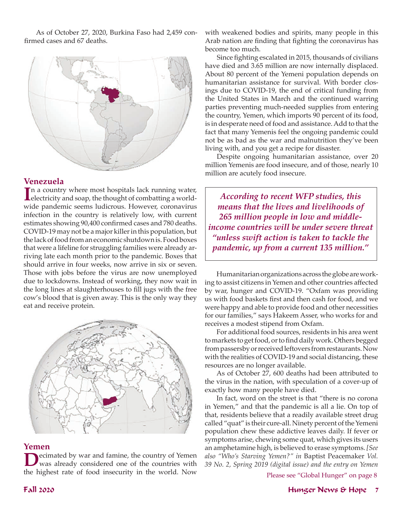As of October 27, 2020, Burkina Faso had 2,459 confirmed cases and 67 deaths.



## **Venezuela**

In a country where most hospitals lack running water,<br>
electricity and soap, the thought of combatting a worldelectricity and soap, the thought of combatting a worldwide pandemic seems ludicrous. However, coronavirus infection in the country is relatively low, with current estimates showing 90,400 confirmed cases and 780 deaths. COVID-19 may not be a major killer in this population, but the lack of food from an economic shutdown is. Food boxes that were a lifeline for struggling families were already arriving late each month prior to the pandemic. Boxes that should arrive in four weeks, now arrive in six or seven. Those with jobs before the virus are now unemployed due to lockdowns. Instead of working, they now wait in the long lines at slaughterhouses to fill jugs with the free cow's blood that is given away. This is the only way they eat and receive protein.



### **Yemen**

ecimated by war and famine, the country of Yemen was already considered one of the countries with the highest rate of food insecurity in the world. Now with weakened bodies and spirits, many people in this Arab nation are finding that fighting the coronavirus has become too much.

Since fighting escalated in 2015, thousands of civilians have died and 3.65 million are now internally displaced. About 80 percent of the Yemeni population depends on humanitarian assistance for survival. With border closings due to COVID-19, the end of critical funding from the United States in March and the continued warring parties preventing much-needed supplies from entering the country, Yemen, which imports 90 percent of its food, is in desperate need of food and assistance. Add to that the fact that many Yemenis feel the ongoing pandemic could not be as bad as the war and malnutrition they've been living with, and you get a recipe for disaster.

Despite ongoing humanitarian assistance, over 20 million Yemenis are food insecure, and of those, nearly 10 million are acutely food insecure.

*According to recent WFP studies, this means that the lives and livelihoods of 265 million people in low and middleincome countries will be under severe threat "unless swift action is taken to tackle the pandemic, up from a current 135 million."*

Humanitarian organizations across the globe are working to assist citizens in Yemen and other countries affected by war, hunger and COVID-19. "Oxfam was providing us with food baskets first and then cash for food, and we were happy and able to provide food and other necessities for our families," says Hakeem Asser, who works for and receives a modest stipend from Oxfam.

For additional food sources, residents in his area went to markets to get food, or to find daily work. Others begged from passersby or received leftovers from restaurants. Now with the realities of COVID-19 and social distancing, these resources are no longer available.

As of October 27, 600 deaths had been attributed to the virus in the nation, with speculation of a cover-up of exactly how many people have died.

In fact, word on the street is that "there is no corona in Yemen," and that the pandemic is all a lie. On top of that, residents believe that a readily available street drug called "quat" is their cure-all. Ninety percent of the Yemeni population chew these addictive leaves daily. If fever or symptoms arise, chewing some quat, which gives its users an amphetamine high, is believed to erase symptoms. *[See also "Who's Starving Yemen?" in* Baptist Peacemaker *Vol. 39 No. 2, Spring 2019 (digital issue) and the entry on Yemen* 

Please see "Global Hunger" on page 8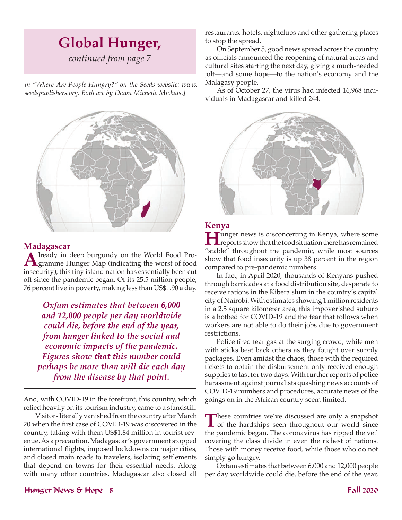## **Global Hunger,**

*continued from page 7*

*in "Where Are People Hungry?" on the Seeds website: www. seedspublishers.org. Both are by Dawn Michelle Michals.]*



## **Madagascar**

**A**lready in deep burgundy on the World Food Pro-<br>gramme Hunger Map (indicating the worst of food<br>inconsider), this time island as time become tially become insecurity), this tiny island nation has essentially been cut off since the pandemic began. Of its 25.5 million people, 76 percent live in poverty, making less than US\$1.90 a day.

*Oxfam estimates that between 6,000 and 12,000 people per day worldwide could die, before the end of the year, from hunger linked to the social and economic impacts of the pandemic. Figures show that this number could perhaps be more than will die each day from the disease by that point.*

And, with COVID-19 in the forefront, this country, which relied heavily on its tourism industry, came to a standstill.

Visitors literally vanished from the country after March 20 when the first case of COVID-19 was discovered in the country, taking with them US\$1.84 million in tourist revenue. As a precaution, Madagascar's government stopped international flights, imposed lockdowns on major cities, and closed main roads to travelers, isolating settlements that depend on towns for their essential needs. Along with many other countries, Madagascar also closed all

restaurants, hotels, nightclubs and other gathering places to stop the spread.

On September 5, good news spread across the country as officials announced the reopening of natural areas and cultural sites starting the next day, giving a much-needed jolt—and some hope—to the nation's economy and the Malagasy people.

As of October 27, the virus had infected 16,968 individuals in Madagascar and killed 244.



**Kenya**<br>**T** Junger news is disconcerting in Kenya, where some **Hunger news is disconcerting in Kenya, where some reports show that the food situation there has remained** "stable" throughout the pandemic, while most sources show that food insecurity is up 38 percent in the region compared to pre-pandemic numbers.

In fact, in April 2020, thousands of Kenyans pushed through barricades at a food distribution site, desperate to receive rations in the Kibera slum in the country's capital city of Nairobi. With estimates showing 1 million residents in a 2.5 square kilometer area, this impoverished suburb is a hotbed for COVID-19 and the fear that follows when workers are not able to do their jobs due to government restrictions.

Police fired tear gas at the surging crowd, while men with sticks beat back others as they fought over supply packages. Even amidst the chaos, those with the required tickets to obtain the disbursement only received enough supplies to last for two days. With further reports of police harassment against journalists quashing news accounts of COVID-19 numbers and procedures, accurate news of the goings on in the African country seem limited.

These countries we've discussed are only a snapshot of the hardships seen throughout our world since the pandemic began. The coronavirus has ripped the veil covering the class divide in even the richest of nations. Those with money receive food, while those who do not simply go hungry.

Oxfam estimates that between 6,000 and 12,000 people per day worldwide could die, before the end of the year,

### Hunger News & Hope 8 Fall 2020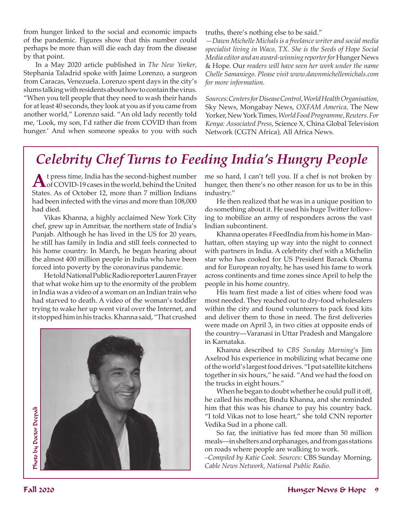from hunger linked to the social and economic impacts of the pandemic. Figures show that this number could perhaps be more than will die each day from the disease by that point.

In a May 2020 article published in *The New Yorker*, Stephania Taladrid spoke with Jaime Lorenzo, a surgeon from Caracas, Venezuela. Lorenzo spent days in the city's slums talking with residents about how to contain the virus. "When you tell people that they need to wash their hands for at least 40 seconds, they look at you as if you came from another world," Lorenzo said. "An old lady recently told me, 'Look, my son, I'd rather die from COVID than from hunger.' And when someone speaks to you with such truths, there's nothing else to be said."

*—Dawn Michelle Michals is a freelance writer and social media specialist living in Waco, TX. She is the Seeds of Hope Social Media editor and an award-winning reporter for* Hunger News & Hope*.* Our *readers will have seen her work under the name Chelle Samaniego. Please visit www.dawnmichellemichals.com for more information.* 

*Sources: Centers for Disease Control, World Health Organisation,*  Sky News, Mongabay News*, OXFAM America,* The New Yorker, New York Times*, World Food Programme, Reuters. For Kenya: Associated Press*, Science X*,* China Global Television Network (CGTN Africa)*,* All Africa News*.* 

## *Celebrity Chef Turns to Feeding India's Hungry People*

**A**t press time, India has the second-highest number<br>
of COVID-19 cases in the world, behind the United States. As of October 12, more than 7 million Indians had been infected with the virus and more than 108,000 had died.

Vikas Khanna, a highly acclaimed New York City chef, grew up in Amritsar, the northern state of India's Punjab. Although he has lived in the US for 20 years, he still has family in India and still feels connected to his home country. In March, he began hearing about the almost 400 million people in India who have been forced into poverty by the coronavirus pandemic.

He told National Public Radio reporter Lauren Frayer that what woke him up to the enormity of the problem in India was a video of a woman on an Indian train who had starved to death. A video of the woman's toddler trying to wake her up went viral over the Internet, and it stopped him in his tracks. Khanna said, "That crushed



me so hard, I can't tell you. If a chef is not broken by hunger, then there's no other reason for us to be in this industry."

He then realized that he was in a unique position to do something about it. He used his huge Twitter following to mobilize an army of responders across the vast Indian subcontinent.

Khanna operates #FeedIndia from his home in Manhattan, often staying up way into the night to connect with partners in India. A celebrity chef with a Michelin star who has cooked for US President Barack Obama and for European royalty, he has used his fame to work across continents and time zones since April to help the people in his home country.

His team first made a list of cities where food was most needed. They reached out to dry-food wholesalers within the city and found volunteers to pack food kits and deliver them to those in need. The first deliveries were made on April 3, in two cities at opposite ends of the country—Varanasi in Uttar Pradesh and Mangalore in Karnataka.

Khanna described to *CBS Sunday Morning*'s Jim Axelrod his experience in mobilizing what became one of the world's largest food drives. "I put satellite kitchens together in six hours," he said. "And we had the food on the trucks in eight hours."

When he began to doubt whether he could pull it off, he called his mother, Bindu Khanna, and she reminded him that this was his chance to pay his country back. "I told Vikas not to lose heart," she told CNN reporter Vedika Sud in a phone call.

So far, the initiative has fed more than 50 million meals—in shelters and orphanages, and from gas stations on roads where people are walking to work.

*–Compiled by Katie Cook. Sources:* CBS Sunday Morning*, Cable News Network, National Public Radio.*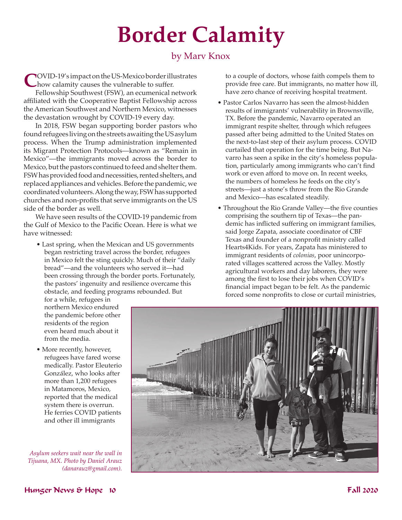# **Border Calamity**

## by Marv Knox

**C**OVID-19's impact on the US-Mexico border illustrates how calamity causes the vulnerable to suffer.

Fellowship Southwest (FSW), an ecumenical network affiliated with the Cooperative Baptist Fellowship across the American Southwest and Northern Mexico, witnesses the devastation wrought by COVID-19 every day.

In 2018, FSW began supporting border pastors who found refugees living on the streets awaiting the US asylum process. When the Trump administration implemented its Migrant Protection Protocols—known as "Remain in Mexico"—the immigrants moved across the border to Mexico, but the pastors continued to feed and shelter them. FSW has provided food and necessities, rented shelters, and replaced appliances and vehicles. Before the pandemic, we coordinated volunteers. Along the way, FSW has supported churches and non-profits that serve immigrants on the US side of the border as well.

We have seen results of the COVID-19 pandemic from the Gulf of Mexico to the Pacific Ocean. Here is what we have witnessed:

• Last spring, when the Mexican and US governments began restricting travel across the border, refugees in Mexico felt the sting quickly. Much of their "daily bread"—and the volunteers who served it—had been crossing through the border ports. Fortunately, the pastors' ingenuity and resilience overcame this obstacle, and feeding programs rebounded. But

for a while, refugees in northern Mexico endured the pandemic before other residents of the region even heard much about it from the media.

• More recently, however, refugees have fared worse medically. Pastor Eleuterio González, who looks after more than 1,200 refugees in Matamoros, Mexico, reported that the medical system there is overrun. He ferries COVID patients and other ill immigrants

*Asylum seekers wait near the wall in Tijuana, MX. Photo by Daniel Arauz (danarauz@gmail.com).*

to a couple of doctors, whose faith compels them to provide free care. But immigrants, no matter how ill, have zero chance of receiving hospital treatment.

- Pastor Carlos Navarro has seen the almost-hidden results of immigrants' vulnerability in Brownsville, TX. Before the pandemic, Navarro operated an immigrant respite shelter, through which refugees passed after being admitted to the United States on the next-to-last step of their asylum process. COVID curtailed that operation for the time being. But Navarro has seen a spike in the city's homeless population, particularly among immigrants who can't find work or even afford to move on. In recent weeks, the numbers of homeless he feeds on the city's streets—just a stone's throw from the Rio Grande and Mexico—has escalated steadily.
- Throughout the Rio Grande Valley—the five counties comprising the southern tip of Texas—the pandemic has inflicted suffering on immigrant families, said Jorge Zapata, associate coordinator of CBF Texas and founder of a nonprofit ministry called Hearts4Kids. For years, Zapata has ministered to immigrant residents of *colonias*, poor unincorporated villages scattered across the Valley. Mostly agricultural workers and day laborers, they were among the first to lose their jobs when COVID's financial impact began to be felt. As the pandemic forced some nonprofits to close or curtail ministries,

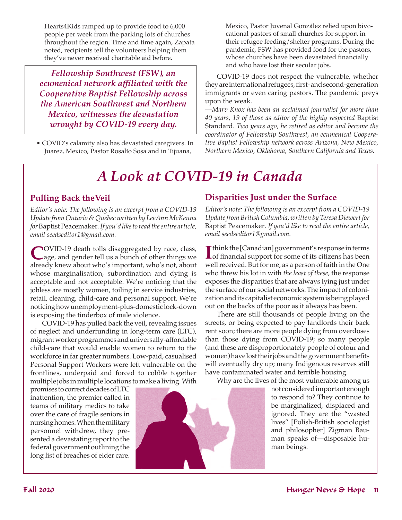Hearts4Kids ramped up to provide food to 6,000 people per week from the parking lots of churches throughout the region. Time and time again, Zapata noted, recipients tell the volunteers helping them they've never received charitable aid before.

*Fellowship Southwest (FSW), an ecumenical network affiliated with the Cooperative Baptist Fellowship across the American Southwest and Northern Mexico, witnesses the devastation wrought by COVID-19 every day.*

• COVID's calamity also has devastated caregivers. In Juarez, Mexico, Pastor Rosalío Sosa and in Tijuana,

Mexico, Pastor Juvenal González relied upon bivocational pastors of small churches for support in their refugee feeding/shelter programs. During the pandemic, FSW has provided food for the pastors, whose churches have been devastated financially and who have lost their secular jobs.

COVID-19 does not respect the vulnerable, whether they are international refugees, first- and second-generation immigrants or even caring pastors. The pandemic preys upon the weak.

—*Marv Knox has been an acclaimed journalist for more than 40 years, 19 of those as editor of the highly respected* Baptist Standard*. Two years ago, he retired as editor and become the coordinator of Fellowship Southwest, an ecumenical Cooperative Baptist Fellowship network across Arizona, New Mexico, Northern Mexico, Oklahoma, Southern California and Texas.* 

## *A Look at COVID-19 in Canada*

## **Pulling Back theVeil**

*Editor's note: The following is an excerpt from a COVID-19 Update from Ontario & Quebec written by LeeAnn McKenna for* Baptist Peacemaker*. If you'd like to read the entire article, email seedseditor1@gmail.com.*

COVID-19 death tolls disaggregated by race, class, age, and gender tell us a bunch of other things we already knew about who's important, who's not, about whose marginalisation, subordination and dying is acceptable and not acceptable. We're noticing that the jobless are mostly women, toiling in service industries, retail, cleaning, child-care and personal support. We're noticing how unemployment-plus-domestic lock-down is exposing the tinderbox of male violence.

COVID-19 has pulled back the veil, revealing issues of neglect and underfunding in long-term care (LTC), migrant worker programmes and universally-affordable child-care that would enable women to return to the workforce in far greater numbers. Low-paid, casualised Personal Support Workers were left vulnerable on the frontlines, underpaid and forced to cobble together multiple jobs in multiple locations to make a living. With

promises to correct decades of LTC inattention, the premier called in teams of military medics to take over the care of fragile seniors in nursing homes. When the military personnel withdrew, they presented a devastating report to the federal government outlining the long list of breaches of elder care.



*Editor's note: The following is an excerpt from a COVID-19 Update from British Columbia, written by Teresa Diewert for*  Baptist Peacemaker*. If you'd like to read the entire article, email seedseditor1@gmail.com.*

**I**I think the [Canadian] government's response in terms<br>of financial support for some of its citizens has been T think the [Canadian] government's response in terms well received. But for me, as a person of faith in the One who threw his lot in with *the least of these*, the response exposes the disparities that are always lying just under the surface of our social networks. The impact of colonization and its capitalist economic system is being played out on the backs of the poor as it always has been.

There are still thousands of people living on the streets, or being expected to pay landlords their back rent soon; there are more people dying from overdoses than those dying from COVID-19; so many people (and these are disproportionately people of colour and women) have lost their jobs and the government benefits will eventually dry up; many Indigenous reserves still have contaminated water and terrible housing.

Why are the lives of the most vulnerable among us

not considered important enough to respond to? They continue to be marginalized, displaced and ignored. They are the "wasted lives" [Polish-British sociologist and philosopher] Zigman Bauman speaks of—disposable human beings.

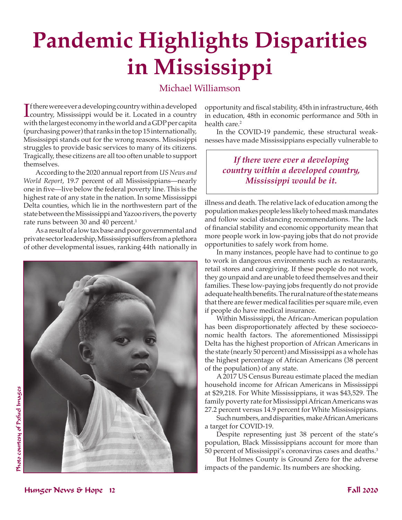# **Pandemic Highlights Disparities in Mississippi**

## Michael Williamson

If there were ever a developing country within a developed<br>
country, Mississippi would be it. Located in a country country, Mississippi would be it. Located in a country with the largest economy in the world and a GDP per capita (purchasing power) that ranks in the top 15 internationally, Mississippi stands out for the wrong reasons. Mississippi struggles to provide basic services to many of its citizens. Tragically, these citizens are all too often unable to support themselves.

According to the 2020 annual report from *US News and World Report*, 19.7 percent of all Mississippians—nearly one in five—live below the federal poverty line. This is the highest rate of any state in the nation. In some Mississippi Delta counties, which lie in the northwestern part of the state between the Mississippi and Yazoo rivers, the poverty rate runs between 30 and 40 percent.<sup>1</sup>

As a result of a low tax base and poor governmental and private sector leadership, Mississippi suffers from a plethora of other developmental issues, ranking 44th nationally in



opportunity and fiscal stability, 45th in infrastructure, 46th in education, 48th in economic performance and 50th in health care.<sup>2</sup>

In the COVID-19 pandemic, these structural weaknesses have made Mississippians especially vulnerable to

## *If there were ever a developing country within a developed country, Mississippi would be it.*

illness and death. The relative lack of education among the population makes people less likely to heed mask mandates and follow social distancing recommendations. The lack of financial stability and economic opportunity mean that more people work in low-paying jobs that do not provide opportunities to safely work from home.

In many instances, people have had to continue to go to work in dangerous environments such as restaurants, retail stores and caregiving. If these people do not work, they go unpaid and are unable to feed themselves and their families. These low-paying jobs frequently do not provide adequate health benefits. The rural nature of the state means that there are fewer medical facilities per square mile, even if people do have medical insurance.

Within Mississippi, the African-American population has been disproportionately affected by these socioeconomic health factors. The aforementioned Mississippi Delta has the highest proportion of African Americans in the state (nearly 50 percent) and Mississippi as a whole has the highest percentage of African Americans (38 percent of the population) of any state.

A 2017 US Census Bureau estimate placed the median household income for African Americans in Mississippi at \$29,218. For White Mississippians, it was \$43,529. The family poverty rate for Mississippi African Americans was 27.2 percent versus 14.9 percent for White Mississippians.

Such numbers, and disparities, make African Americans a target for COVID-19.

Despite representing just 38 percent of the state's population, Black Mississippians account for more than 50 percent of Mississippi's coronavirus cases and deaths.<sup>3</sup>

But Holmes County is Ground Zero for the adverse impacts of the pandemic. Its numbers are shocking.

# Photo courtesy of Pxfuel Images Photo courtesy of Pxfuel Images

Hunger News & Hope 12 Fall 2020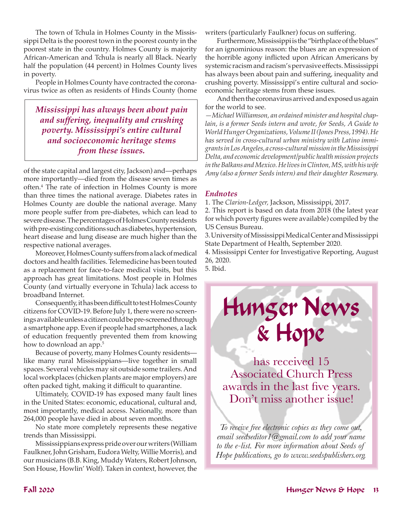The town of Tchula in Holmes County in the Mississippi Delta is the poorest town in the poorest county in the poorest state in the country. Holmes County is majority African-American and Tchula is nearly all Black. Nearly half the population (44 percent) in Holmes County lives in poverty.

People in Holmes County have contracted the coronavirus twice as often as residents of Hinds County (home

*Mississippi has always been about pain and suffering, inequality and crushing poverty. Mississippi's entire cultural and socioeconomic heritage stems from these issues.*

of the state capital and largest city, Jackson) and—perhaps more importantly—died from the disease seven times as often.4 The rate of infection in Holmes County is more than three times the national average. Diabetes rates in Holmes County are double the national average. Many more people suffer from pre-diabetes, which can lead to severe disease. The percentages of Holmes County residents with pre-existing conditions such as diabetes, hypertension, heart disease and lung disease are much higher than the respective national averages.

Moreover, Holmes County suffers from a lack of medical doctors and health facilities. Telemedicine has been touted as a replacement for face-to-face medical visits, but this approach has great limitations. Most people in Holmes County (and virtually everyone in Tchula) lack access to broadband Internet.

Consequently, it has been difficult to test Holmes County citizens for COVID-19. Before July 1, there were no screenings available unless a citizen could be pre-screened through a smartphone app. Even if people had smartphones, a lack of education frequently prevented them from knowing how to download an app.<sup>5</sup>

Because of poverty, many Holmes County residents like many rural Mississippians—live together in small spaces. Several vehicles may sit outside some trailers. And local workplaces (chicken plants are major employers) are often packed tight, making it difficult to quarantine.

Ultimately, COVID-19 has exposed many fault lines in the United States: economic, educational, cultural and, most importantly, medical access. Nationally, more than 264,000 people have died in about seven months.

No state more completely represents these negative trends than Mississippi.

Mississippians express pride over our writers (William Faulkner, John Grisham, Eudora Welty, Willie Morris), and our musicians (B.B. King, Muddy Waters, Robert Johnson, Son House, Howlin' Wolf). Taken in context, however, the

writers (particularly Faulkner) focus on suffering.

Furthermore, Mississippi is the "birthplace of the blues" for an ignominious reason: the blues are an expression of the horrible agony inflicted upon African Americans by systemic racism and racism's pervasive effects. Mississippi has always been about pain and suffering, inequality and crushing poverty. Mississippi's entire cultural and socioeconomic heritage stems from these issues.

And then the coronavirus arrived and exposed us again for the world to see.

*—Michael Williamson, an ordained minister and hospital chaplain, is a former Seeds intern and wrote, for Seeds, A Guide to World Hunger Organizations, Volume II (Jones Press, 1994). He has served in cross-cultural urban ministry with Latino immigrants in Los Angeles, a cross-cultural mission in the Mississippi Delta, and economic development/public health mission projects in the Balkans and Mexico. He lives in Clinton, MS, with his wife Amy (also a former Seeds intern) and their daughter Rosemary.* 

## *Endnotes*

1. The *Clarion-Ledger,* Jackson, Mississippi, 2017.

2. This report is based on data from 2018 (the latest year for which poverty figures were available) compiled by the US Census Bureau.

3. University of Mississippi Medical Center and Mississippi State Department of Health, September 2020.

4. Mississippi Center for Investigative Reporting, August 26, 2020. 5. Ibid.

Hunger News

& Hope

has received 15 Associated Church Press awards in the last five years. Don't miss another issue!

*To receive free electronic copies as they come out, email seedseditor1@gmail.com to add your name to the e-list. For more information about Seeds of Hope publications, go to www.seedspublishers.org.*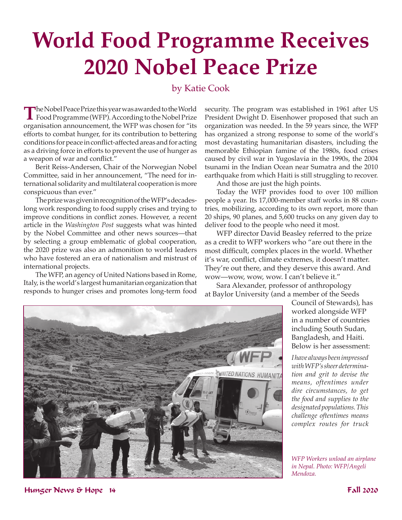# **World Food Programme Receives 2020 Nobel Peace Prize**

## by Katie Cook

The Nobel Peace Prize this year was awarded to the World<br>Food Programme (WFP). According to the Nobel Prize organisation announcement, the WFP was chosen for "its efforts to combat hunger, for its contribution to bettering conditions for peace in conflict-affected areas and for acting as a driving force in efforts to prevent the use of hunger as a weapon of war and conflict."

Berit Reiss-Andersen, Chair of the Norwegian Nobel Committee, said in her announcement, "The need for international solidarity and multilateral cooperation is more conspicuous than ever."

The prize was given in recognition of the WFP's decadeslong work responding to food supply crises and trying to improve conditions in conflict zones. However, a recent article in the *Washington Post* suggests what was hinted by the Nobel Committee and other news sources—that by selecting a group emblematic of global cooperation, the 2020 prize was also an admonition to world leaders who have fostered an era of nationalism and mistrust of international projects.

The WFP, an agency of United Nations based in Rome, Italy, is the world's largest humanitarian organization that responds to hunger crises and promotes long-term food

security. The program was established in 1961 after US President Dwight D. Eisenhower proposed that such an organization was needed. In the 59 years since, the WFP has organized a strong response to some of the world's most devastating humanitarian disasters, including the memorable Ethiopian famine of the 1980s, food crises caused by civil war in Yugoslavia in the 1990s, the 2004 tsunami in the Indian Ocean near Sumatra and the 2010 earthquake from which Haiti is still struggling to recover.

And those are just the high points.

Today the WFP provides food to over 100 million people a year. Its 17,000-member staff works in 88 countries, mobilizing, according to its own report, more than 20 ships, 90 planes, and 5,600 trucks on any given day to deliver food to the people who need it most.

WFP director David Beasley referred to the prize as a credit to WFP workers who "are out there in the most difficult, complex places in the world. Whether it's war, conflict, climate extremes, it doesn't matter. They're out there, and they deserve this award. And wow—wow, wow, wow. I can't believe it."

Sara Alexander, professor of anthropology at Baylor University (and a member of the Seeds



Council of Stewards), has worked alongside WFP in a number of countries including South Sudan, Bangladesh, and Haiti. Below is her assessment:

*I have always been impressed with WFP's sheer determination and grit to devise the means, oftentimes under dire circumstances, to get the food and supplies to the designated populations. This challenge oftentimes means complex routes for truck* 

*WFP Workers unload an airplane in Nepal. Photo: WFP/Angeli Mendoza.*

Hunger News & Hope 14 Fall 2020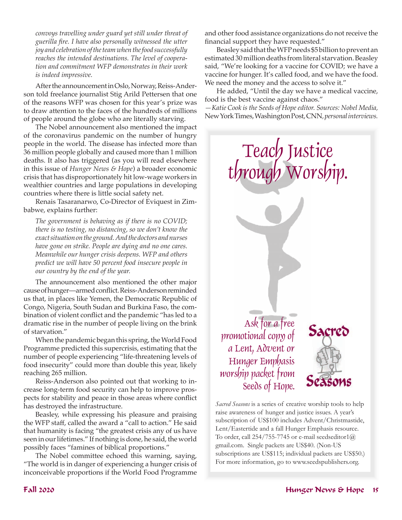*convoys travelling under guard yet still under threat of guerilla fire. I have also personally witnessed the utter joy and celebration of the team when the food successfully reaches the intended destinations. The level of cooperation and commitment WFP demonstrates in their work is indeed impressive.*

After the announcement in Oslo, Norway, Reiss-Anderson told freelance journalist Stig Arild Pettersen that one of the reasons WFP was chosen for this year's prize was to draw attention to the faces of the hundreds of millions of people around the globe who are literally starving.

The Nobel announcement also mentioned the impact of the coronavirus pandemic on the number of hungry people in the world. The disease has infected more than 36 million people globally and caused more than 1 million deaths. It also has triggered (as you will read elsewhere in this issue of *Hunger News & Hope*) a broader economic crisis that has disproportionately hit low-wage workers in wealthier countries and large populations in developing countries where there is little social safety net.

Renais Tasaranarwo, Co-Director of Eviquest in Zimbabwe, explains further:

*The government is behaving as if there is no COVID; there is no testing, no distancing, so we don't know the exact situation on the ground. And the doctors and nurses have gone on strike. People are dying and no one cares. Meanwhile our hunger crisis deepens. WFP and others predict we will have 50 percent food insecure people in our country by the end of the year.*

The announcement also mentioned the other major cause of hunger—armed conflict. Reiss-Anderson reminded us that, in places like Yemen, the Democratic Republic of Congo, Nigeria, South Sudan and Burkina Faso, the combination of violent conflict and the pandemic "has led to a dramatic rise in the number of people living on the brink of starvation."

When the pandemic began this spring, the World Food Programme predicted this supercrisis, estimating that the number of people experiencing "life-threatening levels of food insecurity" could more than double this year, likely reaching 265 million.

Reiss-Anderson also pointed out that working to increase long-term food security can help to improve prospects for stability and peace in those areas where conflict has destroyed the infrastructure.

Beasley, while expressing his pleasure and praising the WFP staff, called the award a "call to action." He said that humanity is facing "the greatest crisis any of us have seen in our lifetimes." If nothing is done, he said, the world possibly faces "famines of biblical proportions."

The Nobel committee echoed this warning, saying, "The world is in danger of experiencing a hunger crisis of inconceivable proportions if the World Food Programme

and other food assistance organizations do not receive the financial support they have requested."

Beasley said that the WFP needs \$5 billion to prevent an estimated 30 million deaths from literal starvation. Beasley said, "We're looking for a vaccine for COVID; we have a vaccine for hunger. It's called food, and we have the food. We need the money and the access to solve it."

He added, "Until the day we have a medical vaccine, food is the best vaccine against chaos."

*—Katie Cook is the Seeds of Hope editor. Sources: Nobel Media,*  New York Times, Washington Post, CNN*, personal interviews.* 



*Sacred Seasons* is a series of creative worship tools to help raise awareness of hunger and justice issues. A year's subscription of US\$100 includes Advent/Christmastide, Lent/Eastertide and a fall Hunger Emphasis resource. To order, call  $254/755$ -7745 or e-mail seedseditor1 $@$ gmail.com. Single packets are US\$40. (Non-US subscriptions are US\$115; individual packets are US\$50.) For more information, go to www.seedspublishers.org.